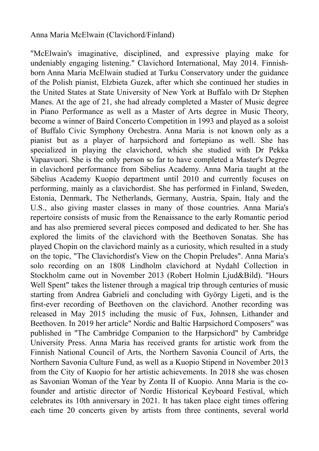## Anna Maria McElwain (Clavichord/Finland)

"McElwain's imaginative, disciplined, and expressive playing make for undeniably engaging listening." Clavichord International, May 2014. Finnishborn Anna Maria McElwain studied at Turku Conservatory under the guidance of the Polish pianist, Elzbieta Guzek, after which she continued her studies in the United States at State University of New York at Buffalo with Dr Stephen Manes. At the age of 21, she had already completed a Master of Music degree in Piano Performance as well as a Master of Arts degree in Music Theory, become a winner of Baird Concerto Competition in 1993 and played as a soloist of Buffalo Civic Symphony Orchestra. Anna Maria is not known only as a pianist but as a player of harpsichord and fortepiano as well. She has specialized in playing the clavichord, which she studied with Dr Pekka Vapaavuori. She is the only person so far to have completed a Master's Degree in clavichord performance from Sibelius Academy. Anna Maria taught at the Sibelius Academy Kuopio department until 2010 and currently focuses on performing, mainly as a clavichordist. She has performed in Finland, Sweden, Estonia, Denmark, The Netherlands, Germany, Austria, Spain, Italy and the U.S., also giving master classes in many of those countries. Anna Maria's repertoire consists of music from the Renaissance to the early Romantic period and has also premiered several pieces composed and dedicated to her. She has explored the limits of the clavichord with the Beethoven Sonatas. She has played Chopin on the clavichord mainly as a curiosity, which resulted in a study on the topic, "The Clavichordist's View on the Chopin Preludes". Anna Maria's solo recording on an 1808 Lindholm clavichord at Nydahl Collection in Stockholm came out in November 2013 (Robert Holmin Ljud&Bild). "Hours Well Spent" takes the listener through a magical trip through centuries of music starting from Andrea Gabrieli and concluding with György Ligeti, and is the first-ever recording of Beethoven on the clavichord. Another recording was released in May 2015 including the music of Fux, Johnsen, Lithander and Beethoven. In 2019 her article" Nordic and Baltic Harpsichord Composers" was published in "The Cambridge Companion to the Harpsichord" by Cambridge University Press. Anna Maria has received grants for artistic work from the Finnish National Council of Arts, the Northern Savonia Council of Arts, the Northern Savonia Culture Fund, as well as a Kuopio Stipend in November 2013 from the City of Kuopio for her artistic achievements. In 2018 she was chosen as Savonian Woman of the Year by Zonta II of Kuopio. Anna Maria is the cofounder and artistic director of Nordic Historical Keyboard Festival, which celebrates its 10th anniversary in 2021. It has taken place eight times offering each time 20 concerts given by artists from three continents, several world